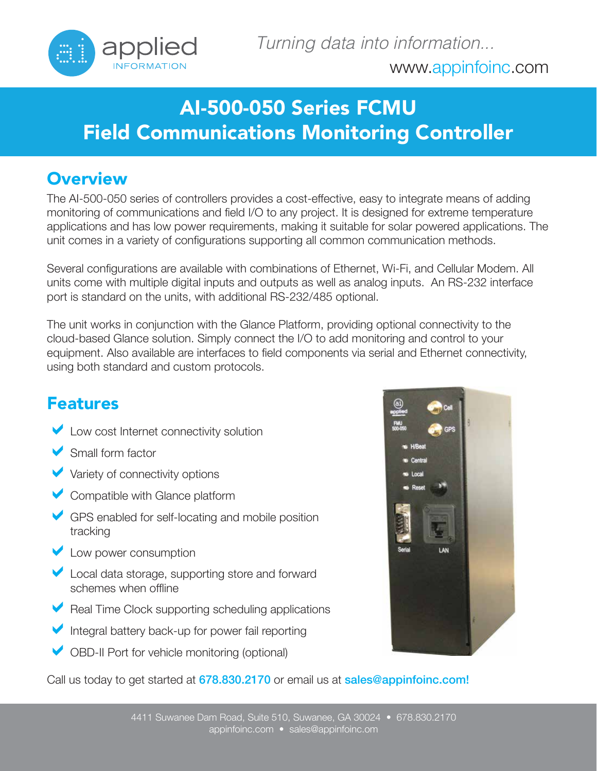

## AI-500-050 Series FCMU Field Communications Monitoring Controller

## **Overview**

The AI-500-050 series of controllers provides a cost-effective, easy to integrate means of adding monitoring of communications and field I/O to any project. It is designed for extreme temperature applications and has low power requirements, making it suitable for solar powered applications. The unit comes in a variety of configurations supporting all common communication methods.

Several configurations are available with combinations of Ethernet, Wi-Fi, and Cellular Modem. All units come with multiple digital inputs and outputs as well as analog inputs. An RS-232 interface port is standard on the units, with additional RS-232/485 optional.

The unit works in conjunction with the Glance Platform, providing optional connectivity to the cloud-based Glance solution. Simply connect the I/O to add monitoring and control to your equipment. Also available are interfaces to field components via serial and Ethernet connectivity, using both standard and custom protocols.

## Features

- Low cost Internet connectivity solution
- Small form factor
- Variety of connectivity options
- Compatible with Glance platform
- GPS enabled for self-locating and mobile position tracking
- **Low power consumption**
- Local data storage, supporting store and forward schemes when offline
- Real Time Clock supporting scheduling applications
- Integral battery back-up for power fail reporting
- OBD-II Port for vehicle monitoring (optional)

Call us today to get started at 678.830.2170 or email us at sales@appinfoinc.com!